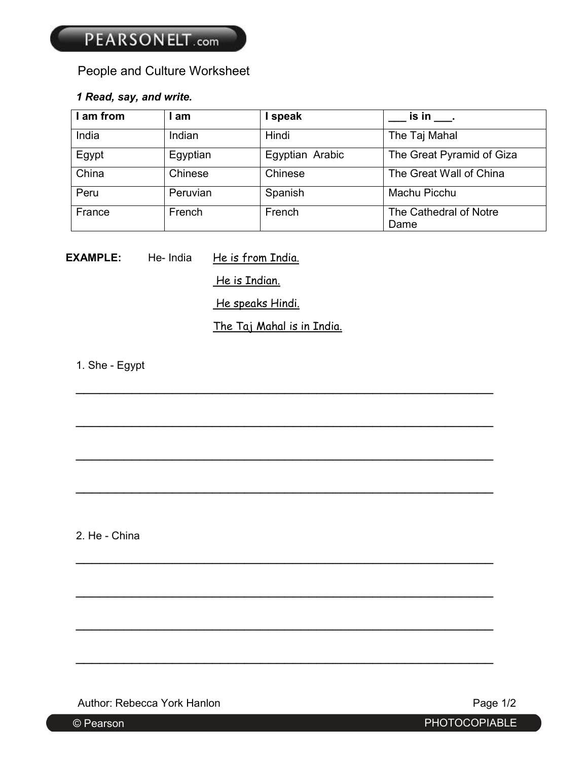# People and Culture Worksheet

## *1 Read, say, and write.*

| I am from | am       | speak           | $is in$ .                      |
|-----------|----------|-----------------|--------------------------------|
| India     | Indian   | Hindi           | The Taj Mahal                  |
| Egypt     | Egyptian | Egyptian Arabic | The Great Pyramid of Giza      |
| China     | Chinese  | Chinese         | The Great Wall of China        |
| Peru      | Peruvian | Spanish         | Machu Picchu                   |
| France    | French   | French          | The Cathedral of Notre<br>Dame |

**EXAMPLE:** He- India He is from India.

He is Indian.

He speaks Hindi.

The Taj Mahal is in India.

\_\_\_\_\_\_\_\_\_\_\_\_\_\_\_\_\_\_\_\_\_\_\_\_\_\_\_\_\_\_\_\_\_\_\_\_\_\_\_\_\_\_\_\_\_\_\_\_\_\_\_\_

\_\_\_\_\_\_\_\_\_\_\_\_\_\_\_\_\_\_\_\_\_\_\_\_\_\_\_\_\_\_\_\_\_\_\_\_\_\_\_\_\_\_\_\_\_\_\_\_\_\_\_\_

\_\_\_\_\_\_\_\_\_\_\_\_\_\_\_\_\_\_\_\_\_\_\_\_\_\_\_\_\_\_\_\_\_\_\_\_\_\_\_\_\_\_\_\_\_\_\_\_\_\_\_\_

\_\_\_\_\_\_\_\_\_\_\_\_\_\_\_\_\_\_\_\_\_\_\_\_\_\_\_\_\_\_\_\_\_\_\_\_\_\_\_\_\_\_\_\_\_\_\_\_\_\_\_\_

\_\_\_\_\_\_\_\_\_\_\_\_\_\_\_\_\_\_\_\_\_\_\_\_\_\_\_\_\_\_\_\_\_\_\_\_\_\_\_\_\_\_\_\_\_\_\_\_\_\_\_\_

\_\_\_\_\_\_\_\_\_\_\_\_\_\_\_\_\_\_\_\_\_\_\_\_\_\_\_\_\_\_\_\_\_\_\_\_\_\_\_\_\_\_\_\_\_\_\_\_\_\_\_\_

\_\_\_\_\_\_\_\_\_\_\_\_\_\_\_\_\_\_\_\_\_\_\_\_\_\_\_\_\_\_\_\_\_\_\_\_\_\_\_\_\_\_\_\_\_\_\_\_\_\_\_\_

\_\_\_\_\_\_\_\_\_\_\_\_\_\_\_\_\_\_\_\_\_\_\_\_\_\_\_\_\_\_\_\_\_\_\_\_\_\_\_\_\_\_\_\_\_\_\_\_\_\_\_\_

1. She - Egypt

2. He - China

Author: Rebecca York Hanlon **Page 1/2 Page 1/2** 

© Pearson PHOTOCOPIABLE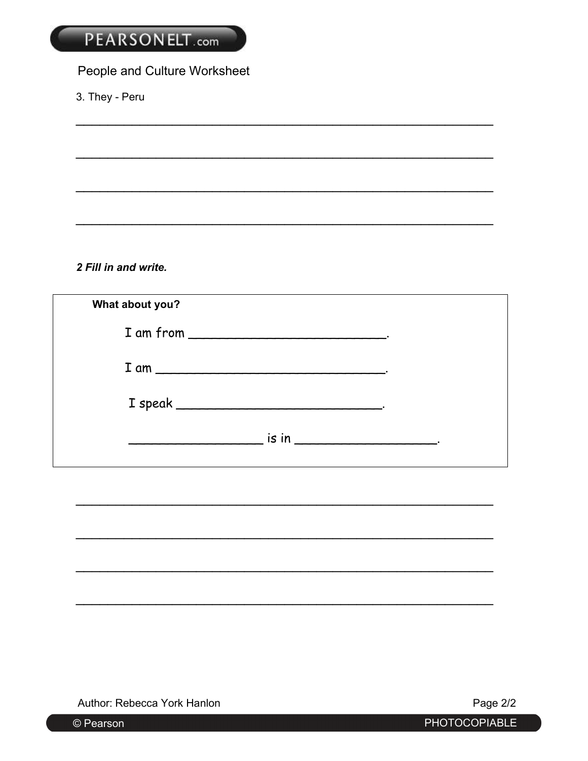# PEARSONELT.com

# People and Culture Worksheet

3. They - Peru

2 Fill in and write.

| What about you? |  |
|-----------------|--|
|                 |  |
|                 |  |
|                 |  |
|                 |  |
|                 |  |

Author: Rebecca York Hanlon

Page 2/2

© Pearson

PHOTOCOPIABLE